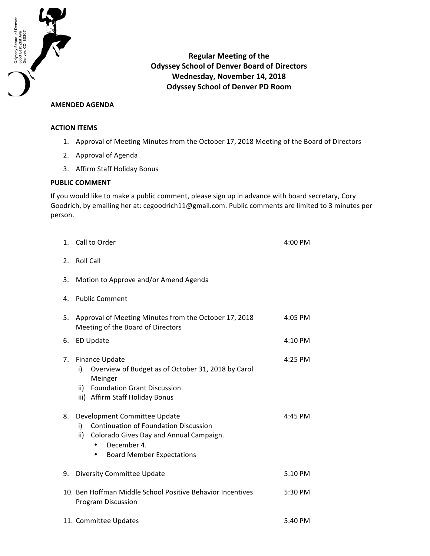

**Regular Meeting of the Odyssey School of Denver Board of Directors Wednesday, November 14, 2018 Odyssey School of Denver PD Room**

## **AMENDED AGENDA**

## **ACTION ITEMS**

- 1. Approval of Meeting Minutes from the October 17, 2018 Meeting of the Board of Directors
- 2. Approval of Agenda
- 3. Affirm Staff Holiday Bonus

## **PUBLIC COMMENT**

If you would like to make a public comment, please sign up in advance with board secretary, Cory Goodrich, by emailing her at: cegoodrich11@gmail.com. Public comments are limited to 3 minutes per person.

| 1. | Call to Order                                                                                                                                                                                        | 4:00 PM |
|----|------------------------------------------------------------------------------------------------------------------------------------------------------------------------------------------------------|---------|
| 2. | <b>Roll Call</b>                                                                                                                                                                                     |         |
| 3. | Motion to Approve and/or Amend Agenda                                                                                                                                                                |         |
| 4. | <b>Public Comment</b>                                                                                                                                                                                |         |
| 5. | Approval of Meeting Minutes from the October 17, 2018<br>Meeting of the Board of Directors                                                                                                           | 4:05 PM |
| 6. | ED Update                                                                                                                                                                                            | 4:10 PM |
| 7. | <b>Finance Update</b><br>Overview of Budget as of October 31, 2018 by Carol<br>i)<br>Meinger<br><b>Foundation Grant Discussion</b><br>ii)<br>iii) Affirm Staff Holiday Bonus                         | 4:25 PM |
| 8. | Development Committee Update<br><b>Continuation of Foundation Discussion</b><br>i)<br>ii)<br>Colorado Gives Day and Annual Campaign.<br>December 4.<br><b>Board Member Expectations</b><br>$\bullet$ | 4:45 PM |
| 9. | Diversity Committee Update                                                                                                                                                                           | 5:10 PM |
|    | 10. Ben Hoffman Middle School Positive Behavior Incentives<br><b>Program Discussion</b>                                                                                                              | 5:30 PM |
|    | 11. Committee Updates<br>5:40 PM                                                                                                                                                                     |         |